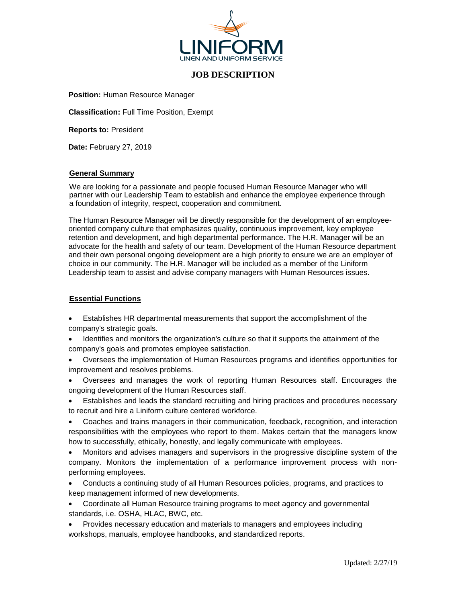

# **JOB DESCRIPTION**

**Position:** Human Resource Manager

**Classification:** Full Time Position, Exempt

**Reports to:** President

**Date:** February 27, 2019

### **General Summary**

We are looking for a passionate and people focused Human Resource Manager who will partner with our Leadership Team to establish and enhance the employee experience through a foundation of integrity, respect, cooperation and commitment.

The Human Resource Manager will be directly responsible for the development of an employeeoriented company culture that emphasizes quality, continuous improvement, key employee retention and development, and high departmental performance. The H.R. Manager will be an advocate for the health and safety of our team. Development of the Human Resource department and their own personal ongoing development are a high priority to ensure we are an employer of choice in our community. The H.R. Manager will be included as a member of the Liniform Leadership team to assist and advise company managers with Human Resources issues.

### **Essential Functions**

- Establishes HR departmental measurements that support the accomplishment of the company's strategic goals.
- Identifies and monitors the organization's culture so that it supports the attainment of the company's goals and promotes employee satisfaction.
- Oversees the implementation of Human Resources programs and identifies opportunities for improvement and resolves problems.
- Oversees and manages the work of reporting Human Resources staff. Encourages the ongoing development of the Human Resources staff.
- Establishes and leads the standard recruiting and hiring practices and procedures necessary to recruit and hire a Liniform culture centered workforce.
- Coaches and trains managers in their communication, feedback, recognition, and interaction responsibilities with the employees who report to them. Makes certain that the managers know how to successfully, ethically, honestly, and legally communicate with employees.
- Monitors and advises managers and supervisors in the progressive discipline system of the company. Monitors the implementation of a performance improvement process with nonperforming employees.
- Conducts a continuing study of all Human Resources policies, programs, and practices to keep management informed of new developments.
- Coordinate all Human Resource training programs to meet agency and governmental standards, i.e. OSHA, HLAC, BWC, etc.
- Provides necessary education and materials to managers and employees including workshops, manuals, [employee handbooks,](https://www.thebalancecareers.com/what-does-an-employee-handbook-do-for-you-1918123) and standardized reports.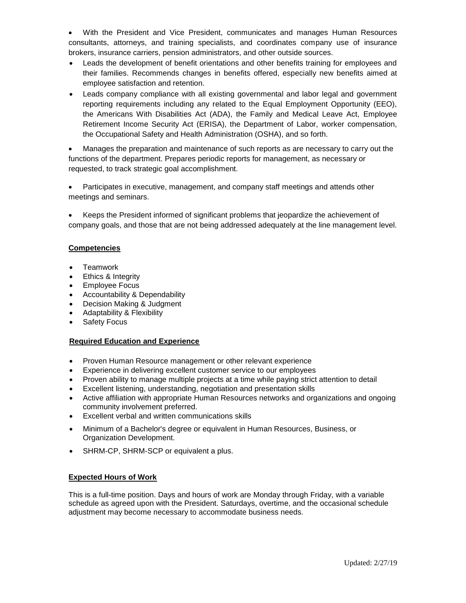• With the President and Vice President, communicates and manages Human Resources consultants, attorneys, and training specialists, and coordinates company use of insurance brokers, insurance carriers, pension administrators, and other outside sources.

- Leads the development of benefit orientations and other benefits training for employees and their families. Recommends changes in benefits offered, especially new benefits aimed at employee satisfaction and retention.
- Leads company compliance with all existing governmental and labor legal and government reporting requirements including any related to the Equal Employment Opportunity (EEO), the Americans With Disabilities Act (ADA), the Family and Medical Leave Act, Employee Retirement Income Security Act (ERISA), the Department of Labor, worker compensation, the Occupational Safety and Health Administration (OSHA), and so forth.

• Manages the preparation and maintenance of such reports as are necessary to carry out the functions of the department. Prepares periodic reports for management, as necessary or requested, to track strategic goal accomplishment.

• Participates in executive, management, and company staff meetings and attends other meetings and seminars.

• Keeps the President informed of significant problems that jeopardize the achievement of company goals, and those that are not being addressed adequately at the line management level.

## **Competencies**

- **Teamwork**
- Ethics & Integrity
- Employee Focus
- Accountability & Dependability
- Decision Making & Judgment
- Adaptability & Flexibility
- Safety Focus

## **Required Education and Experience**

- Proven Human Resource management or other relevant experience
- Experience in delivering excellent customer service to our employees
- Proven ability to manage multiple projects at a time while paying strict attention to detail
- Excellent listening, understanding, negotiation and presentation skills
- Active affiliation with appropriate Human Resources networks and organizations and ongoing community involvement preferred.
- Excellent verbal and written communications skills
- Minimum of a Bachelor's degree or equivalent in Human Resources, Business, or Organization Development.
- SHRM-CP, SHRM-SCP or equivalent a plus.

## **Expected Hours of Work**

This is a full-time position. Days and hours of work are Monday through Friday, with a variable schedule as agreed upon with the President. Saturdays, overtime, and the occasional schedule adjustment may become necessary to accommodate business needs.